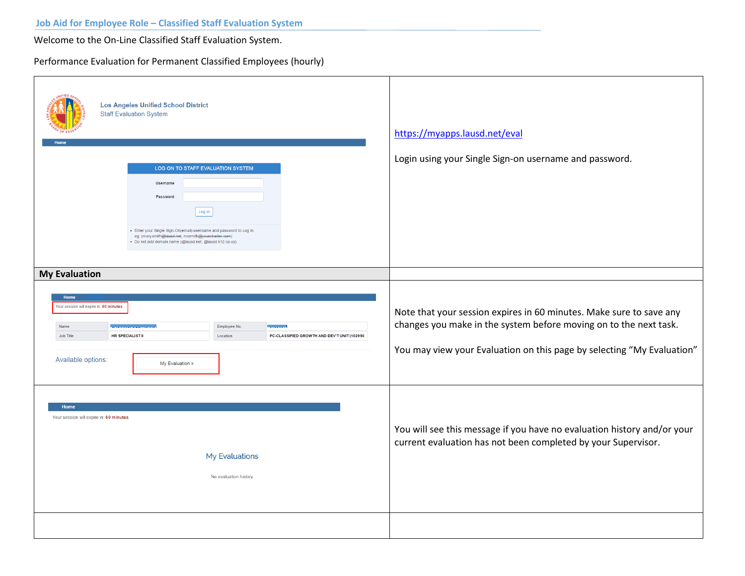Welcome to the On-Line Classified Staff Evaluation System.

Performance Evaluation for Permanent Classified Employees (hourly)

| <b>Los Angeles Unified School District</b><br><b>Staff Evaluation System</b><br>LOG ON TO STAFF EVALUATION SYSTEM<br><b>Username</b><br>Password<br>Log in<br>- Enter your Single Sign-On(email) username and password to Log in.<br>eg. (mary.smith@lausd.net, mssmith@yourcharter.com)<br>· Do not add domain name (@lausd.net, @lausd.k12.ca.us). | https://myapps.lausd.net/eval<br>Login using your Single Sign-on username and password.                                                                                                                            |
|------------------------------------------------------------------------------------------------------------------------------------------------------------------------------------------------------------------------------------------------------------------------------------------------------------------------------------------------------|--------------------------------------------------------------------------------------------------------------------------------------------------------------------------------------------------------------------|
| <b>My Evaluation</b>                                                                                                                                                                                                                                                                                                                                 |                                                                                                                                                                                                                    |
| Home<br>Your session will expire in: 60 minutes<br>Name<br>Employee No.<br><b>Contract Contract</b><br>HR SPECIALISTI<br>PC-CLASSIFIED GROWTH AND DEV'T UNIT (102990<br>Job Title<br>Location<br>Available options:<br>My Evaluation »                                                                                                               | Note that your session expires in 60 minutes. Make sure to save any<br>changes you make in the system before moving on to the next task.<br>You may view your Evaluation on this page by selecting "My Evaluation" |
| Home<br>Your session will expire in: 60 minutes<br>My Evaluations<br>No evaluation history                                                                                                                                                                                                                                                           | You will see this message if you have no evaluation history and/or your<br>current evaluation has not been completed by your Supervisor.                                                                           |
|                                                                                                                                                                                                                                                                                                                                                      |                                                                                                                                                                                                                    |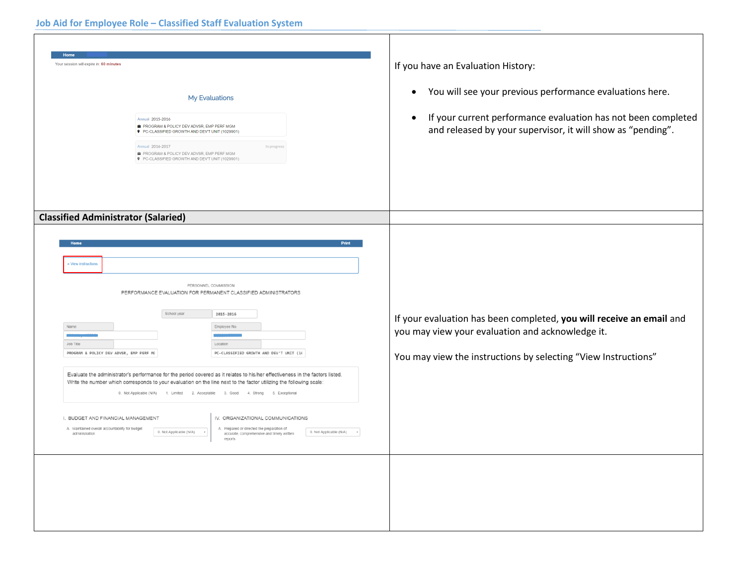| <b>Home</b><br>Your session will expire in: 60 minutes<br>My Evaluations<br>Annual 2015-2016<br>PROGRAM & POLICY DEV ADVSR, EMP PERF MGM<br>P PC-CLASSIFIED GROWTH AND DEV'T UNIT (1029901)<br>Annual 2016-2017<br>In progress<br>PROGRAM & POLICY DEV ADVSR, EMP PERF MGM<br>9 PC-CLASSIFIED GROWTH AND DEV'T UNIT (1029901)                                                                                                                                                                                                                                                                                                                                                                                                                                                                                                                                                                                                                                                                       | If you have an Evaluation History:<br>You will see your previous performance evaluations here.<br>$\bullet$<br>If your current performance evaluation has not been completed<br>$\bullet$<br>and released by your supervisor, it will show as "pending". |
|-----------------------------------------------------------------------------------------------------------------------------------------------------------------------------------------------------------------------------------------------------------------------------------------------------------------------------------------------------------------------------------------------------------------------------------------------------------------------------------------------------------------------------------------------------------------------------------------------------------------------------------------------------------------------------------------------------------------------------------------------------------------------------------------------------------------------------------------------------------------------------------------------------------------------------------------------------------------------------------------------------|----------------------------------------------------------------------------------------------------------------------------------------------------------------------------------------------------------------------------------------------------------|
| <b>Classified Administrator (Salaried)</b><br>Print<br>View instructions<br>PERSONNEL COMMISSION<br>PERFORMANCE EVALUATION FOR PERMANENT CLASSIFIED ADMINISTRATORS<br>School year<br>2015-2016<br>Employee No.<br>Name<br>Job Title<br>Location<br>PROGRAM & POLICY DEV ADVSR, EMP PERF MO<br>PC-CLASSIFIED GROWTH AND DEV'T UNIT (16<br>Evaluate the administrator's performance for the period covered as it relates to his/her effectiveness in the factors listed.<br>Write the number which corresponds to your evaluation on the line next to the factor utilizing the following scale:<br>0. Not Applicable (N/A) 1. Limited 2. Acceptable 3. Good 4. Strong 5. Exceptional<br>IV. ORGANIZATIONAL COMMUNICATIONS<br>I. BUDGET AND FINANCIAL MANAGEMENT<br>A. Maintained overall accountability for budget<br>A. Prepared or directed the preparation of<br>0. Not Applicable (N/A) +<br>0. Not Applicable (N/A) *<br>administration<br>accurate, comprehensive and timely written<br>reports | If your evaluation has been completed, you will receive an email and<br>you may view your evaluation and acknowledge it.<br>You may view the instructions by selecting "View Instructions"                                                               |
|                                                                                                                                                                                                                                                                                                                                                                                                                                                                                                                                                                                                                                                                                                                                                                                                                                                                                                                                                                                                     |                                                                                                                                                                                                                                                          |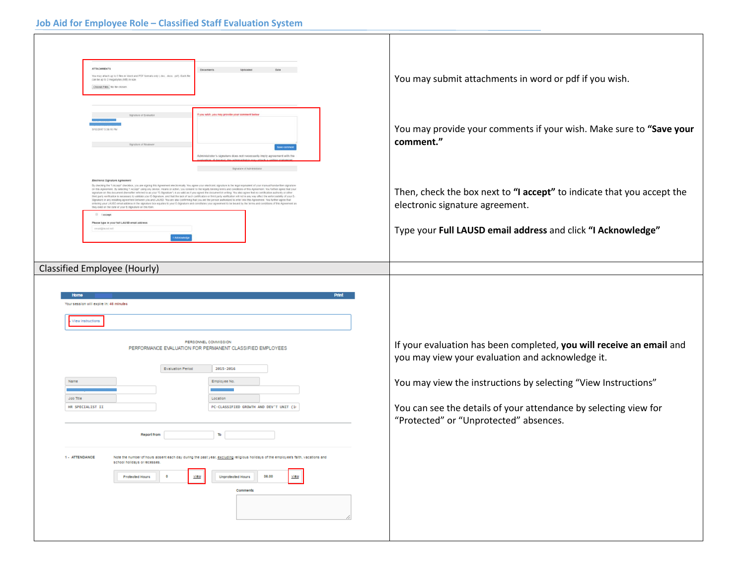## **Job Aid for Employee Role – Classified Staff Evaluation System**

| <b>ATTACHMENTS</b><br><b>Documents</b><br>Uploaded<br>Date<br>You may attach up to 5 files in Word and PDF formats only ( doc, docx, pdf). Each file<br>can be up to 2 megabytes (MB) in size.<br>Choose Files No file chosen<br>If you wish, you may provide your comment below<br>Signature of Evalui                                                                                                                                                                                                                                                                                                                                                                                                                                                                                                                                                                                                                                                                                                                                                                        | You may submit attachments in word or pdf if you wish.                                                     |
|--------------------------------------------------------------------------------------------------------------------------------------------------------------------------------------------------------------------------------------------------------------------------------------------------------------------------------------------------------------------------------------------------------------------------------------------------------------------------------------------------------------------------------------------------------------------------------------------------------------------------------------------------------------------------------------------------------------------------------------------------------------------------------------------------------------------------------------------------------------------------------------------------------------------------------------------------------------------------------------------------------------------------------------------------------------------------------|------------------------------------------------------------------------------------------------------------|
| rator's signature does not necessarily imply agreement with the                                                                                                                                                                                                                                                                                                                                                                                                                                                                                                                                                                                                                                                                                                                                                                                                                                                                                                                                                                                                                | You may provide your comments if your wish. Make sure to "Save your<br>comment."                           |
| Electronic Signature Agreement<br>By checking the "I Accept" checkbox, you are signing this Agreement electronically. You agree your elect<br>on this Agreement. By selecting "I Accept" using any device, means or action, you consent to the legally binding terms and conditions of this Agreement. You further agree that your<br>gnature on this document (hereafter referred to as your "E-Signature") is as valid as if you signed the document in writing. You also agree that no certification authority or other<br>third party verification is necessary to validate your E-Signature, and that the lack of such certification or thrid party verification will not in any way affect the enforceability of your E-<br>Signature or any resulting ag<br>ring your LAUSD email address in the signature box equates to your E-Signature and constitutes your agreement to be bound by the terms and conditions of this Agreement as<br>they exist on the date of your E-Signature on this form.<br><b>El Laccept</b><br>Please type in your full LAUSD email address | Then, check the box next to "I accept" to indicate that you accept the<br>electronic signature agreement.  |
|                                                                                                                                                                                                                                                                                                                                                                                                                                                                                                                                                                                                                                                                                                                                                                                                                                                                                                                                                                                                                                                                                | Type your Full LAUSD email address and click "I Acknowledge"                                               |
|                                                                                                                                                                                                                                                                                                                                                                                                                                                                                                                                                                                                                                                                                                                                                                                                                                                                                                                                                                                                                                                                                |                                                                                                            |
| <b>Classified Employee (Hourly)</b>                                                                                                                                                                                                                                                                                                                                                                                                                                                                                                                                                                                                                                                                                                                                                                                                                                                                                                                                                                                                                                            |                                                                                                            |
| <b>Print</b><br>Your session will expire in: 48 minutes<br>View instructions<br>PERSONNEL COMMISSION<br>PERFORMANCE EVALUATION FOR PERMANENT CLASSIFIED EMPLOYEES                                                                                                                                                                                                                                                                                                                                                                                                                                                                                                                                                                                                                                                                                                                                                                                                                                                                                                              | If your evaluation has been completed, you will receive an email and                                       |
| Evaluation Period<br>2015-2016                                                                                                                                                                                                                                                                                                                                                                                                                                                                                                                                                                                                                                                                                                                                                                                                                                                                                                                                                                                                                                                 | you may view your evaluation and acknowledge it.                                                           |
| Name<br>Employee No.                                                                                                                                                                                                                                                                                                                                                                                                                                                                                                                                                                                                                                                                                                                                                                                                                                                                                                                                                                                                                                                           | You may view the instructions by selecting "View Instructions"                                             |
| Location<br>Job Title<br>PC-CLASSIFIED GROWTH AND DEV'T UNIT (1)<br>HR SPECIALIST II                                                                                                                                                                                                                                                                                                                                                                                                                                                                                                                                                                                                                                                                                                                                                                                                                                                                                                                                                                                           | You can see the details of your attendance by selecting view for<br>"Protected" or "Unprotected" absences. |
| <b>Report from</b><br>ъ                                                                                                                                                                                                                                                                                                                                                                                                                                                                                                                                                                                                                                                                                                                                                                                                                                                                                                                                                                                                                                                        |                                                                                                            |